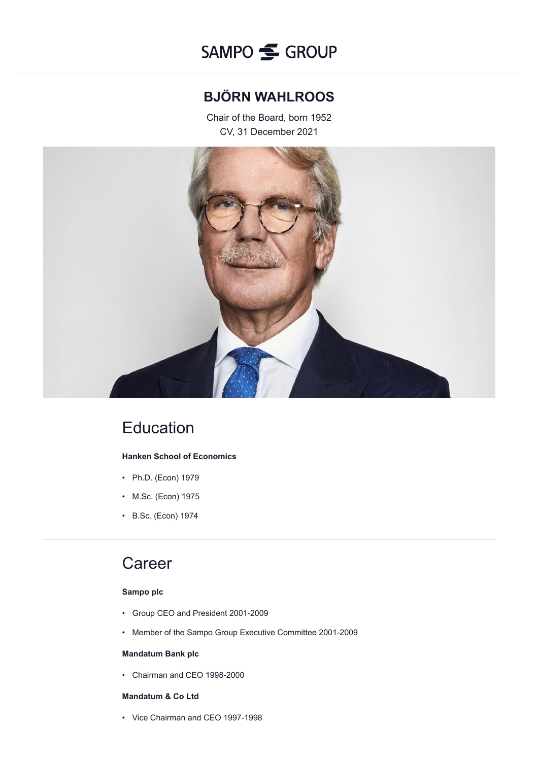

## **BJÖRN WAHLROOS**

Chair of the Board, born 1952 CV, 31 December 2021



# **Education**

### **Hanken School of Economics**

- Ph.D. (Econ) 1979
- M.Sc. (Econ) 1975
- B.Sc. (Econ) 1974

## Career

### **Sampo plc**

- Group CEO and President 2001-2009
- Member of the Sampo Group Executive Committee 2001-2009

### **Mandatum Bank plc**

• Chairman and CEO 1998-2000

## **Mandatum & Co Ltd**

• Vice Chairman and CEO 1997-1998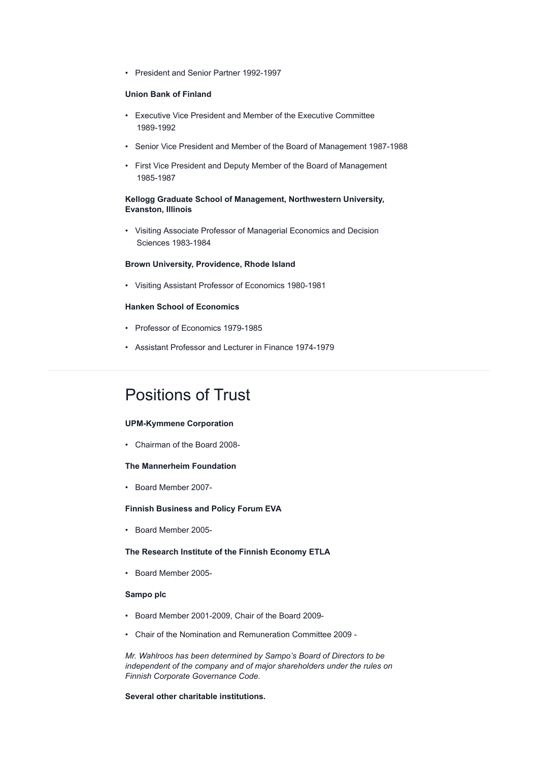• President and Senior Partner 1992-1997

#### **Union Bank of Finland**

- Executive Vice President and Member of the Executive Committee 1989-1992
- Senior Vice President and Member of the Board of Management 1987-1988
- First Vice President and Deputy Member of the Board of Management 1985-1987

#### **Kellogg Graduate School of Management, Northwestern University, Evanston, Illinois**

• Visiting Associate Professor of Managerial Economics and Decision Sciences 1983-1984

#### **Brown University, Providence, Rhode Island**

• Visiting Assistant Professor of Economics 1980-1981

#### **Hanken School of Economics**

- Professor of Economics 1979-1985
- Assistant Professor and Lecturer in Finance 1974-1979

## Positions of Trust

#### **UPM-Kymmene Corporation**

• Chairman of the Board 2008-

#### **The Mannerheim Foundation**

• Board Member 2007-

#### **Finnish Business and Policy Forum EVA**

• Board Member 2005-

#### **The Research Institute of the Finnish Economy ETLA**

• Board Member 2005-

#### **Sampo plc**

- Board Member 2001-2009, Chair of the Board 2009-
- Chair of the Nomination and Remuneration Committee 2009 -

*Mr. Wahlroos has been determined by Sampo's Board of Directors to be independent of the company and of major shareholders under the rules on Finnish Corporate Governance Code.*

## **Several other charitable institutions.**